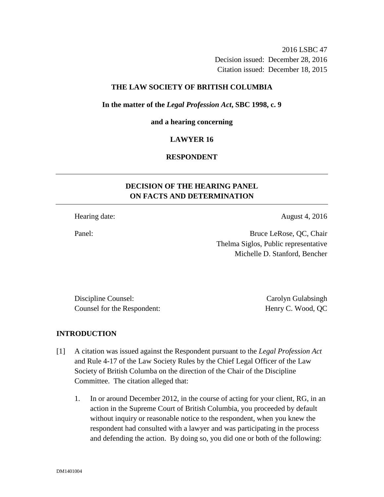2016 LSBC 47 Decision issued: December 28, 2016 Citation issued: December 18, 2015

### **THE LAW SOCIETY OF BRITISH COLUMBIA**

### **In the matter of the** *Legal Profession Act***, SBC 1998, c. 9**

#### **and a hearing concerning**

### **LAWYER 16**

### **RESPONDENT**

# **DECISION OF THE HEARING PANEL ON FACTS AND DETERMINATION**

Hearing date: August 4, 2016

Panel: Bruce LeRose, QC, Chair Thelma Siglos, Public representative Michelle D. Stanford, Bencher

Discipline Counsel: Carolyn Gulabsingh Counsel for the Respondent: Henry C. Wood, QC

### **INTRODUCTION**

- [1] A citation was issued against the Respondent pursuant to the *Legal Profession Act*  and Rule 4-17 of the Law Society Rules by the Chief Legal Officer of the Law Society of British Columba on the direction of the Chair of the Discipline Committee. The citation alleged that:
	- 1. In or around December 2012, in the course of acting for your client, RG, in an action in the Supreme Court of British Columbia, you proceeded by default without inquiry or reasonable notice to the respondent, when you knew the respondent had consulted with a lawyer and was participating in the process and defending the action. By doing so, you did one or both of the following: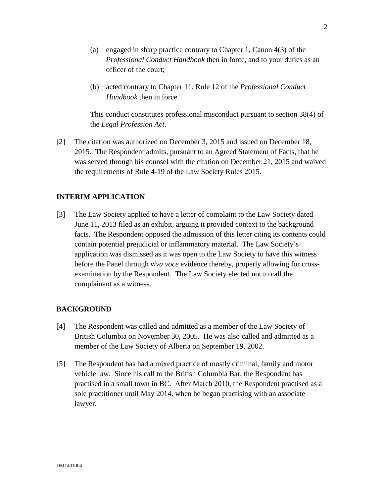- (a) engaged in sharp practice contrary to Chapter 1, Canon 4(3) of the *Professional Conduct Handbook* then in force, and to your duties as an officer of the court;
- (b) acted contrary to Chapter 11, Rule 12 of the *Professional Conduct Handbook* then in force.

This conduct constitutes professional misconduct pursuant to section 38(4) of the *Legal Profession Act*.

[2] The citation was authorized on December 3, 2015 and issued on December 18, 2015. The Respondent admits, pursuant to an Agreed Statement of Facts, that he was served through his counsel with the citation on December 21, 2015 and waived the requirements of Rule 4-19 of the Law Society Rules 2015.

## **INTERIM APPLICATION**

[3] The Law Society applied to have a letter of complaint to the Law Society dated June 11, 2013 filed as an exhibit, arguing it provided context to the background facts. The Respondent opposed the admission of this letter citing its contents could contain potential prejudicial or inflammatory material. The Law Society's application was dismissed as it was open to the Law Society to have this witness before the Panel through *viva voce* evidence thereby, properly allowing for crossexamination by the Respondent. The Law Society elected not to call the complainant as a witness.

### **BACKGROUND**

- [4] The Respondent was called and admitted as a member of the Law Society of British Columbia on November 30, 2005. He was also called and admitted as a member of the Law Society of Alberta on September 19, 2002.
- [5] The Respondent has had a mixed practice of mostly criminal, family and motor vehicle law. Since his call to the British Columbia Bar, the Respondent has practised in a small town in BC. After March 2010, the Respondent practised as a sole practitioner until May 2014, when he began practising with an associate lawyer.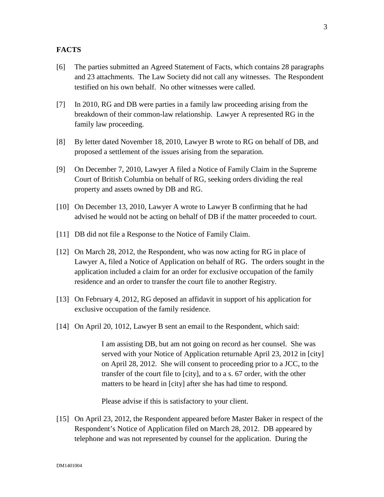### **FACTS**

- [6] The parties submitted an Agreed Statement of Facts, which contains 28 paragraphs and 23 attachments. The Law Society did not call any witnesses. The Respondent testified on his own behalf. No other witnesses were called.
- [7] In 2010, RG and DB were parties in a family law proceeding arising from the breakdown of their common-law relationship. Lawyer A represented RG in the family law proceeding.
- [8] By letter dated November 18, 2010, Lawyer B wrote to RG on behalf of DB, and proposed a settlement of the issues arising from the separation.
- [9] On December 7, 2010, Lawyer A filed a Notice of Family Claim in the Supreme Court of British Columbia on behalf of RG, seeking orders dividing the real property and assets owned by DB and RG.
- [10] On December 13, 2010, Lawyer A wrote to Lawyer B confirming that he had advised he would not be acting on behalf of DB if the matter proceeded to court.
- [11] DB did not file a Response to the Notice of Family Claim.
- [12] On March 28, 2012, the Respondent, who was now acting for RG in place of Lawyer A, filed a Notice of Application on behalf of RG. The orders sought in the application included a claim for an order for exclusive occupation of the family residence and an order to transfer the court file to another Registry.
- [13] On February 4, 2012, RG deposed an affidavit in support of his application for exclusive occupation of the family residence.
- [14] On April 20, 1012, Lawyer B sent an email to the Respondent, which said:

I am assisting DB, but am not going on record as her counsel. She was served with your Notice of Application returnable April 23, 2012 in [city] on April 28, 2012. She will consent to proceeding prior to a JCC, to the transfer of the court file to [city], and to a s. 67 order, with the other matters to be heard in [city] after she has had time to respond.

Please advise if this is satisfactory to your client.

[15] On April 23, 2012, the Respondent appeared before Master Baker in respect of the Respondent's Notice of Application filed on March 28, 2012. DB appeared by telephone and was not represented by counsel for the application. During the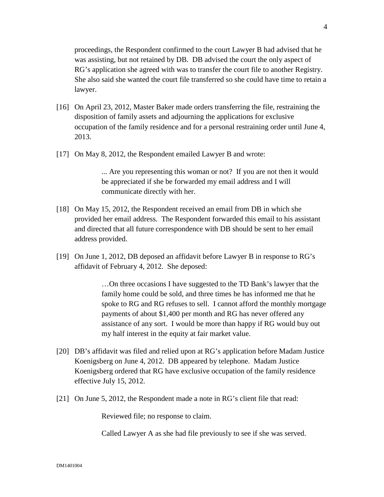proceedings, the Respondent confirmed to the court Lawyer B had advised that he was assisting, but not retained by DB. DB advised the court the only aspect of RG's application she agreed with was to transfer the court file to another Registry. She also said she wanted the court file transferred so she could have time to retain a lawyer.

- [16] On April 23, 2012, Master Baker made orders transferring the file, restraining the disposition of family assets and adjourning the applications for exclusive occupation of the family residence and for a personal restraining order until June 4, 2013.
- [17] On May 8, 2012, the Respondent emailed Lawyer B and wrote:

... Are you representing this woman or not? If you are not then it would be appreciated if she be forwarded my email address and I will communicate directly with her.

- [18] On May 15, 2012, the Respondent received an email from DB in which she provided her email address. The Respondent forwarded this email to his assistant and directed that all future correspondence with DB should be sent to her email address provided.
- [19] On June 1, 2012, DB deposed an affidavit before Lawyer B in response to RG's affidavit of February 4, 2012. She deposed:

…On three occasions I have suggested to the TD Bank's lawyer that the family home could be sold, and three times he has informed me that he spoke to RG and RG refuses to sell. I cannot afford the monthly mortgage payments of about \$1,400 per month and RG has never offered any assistance of any sort. I would be more than happy if RG would buy out my half interest in the equity at fair market value.

- [20] DB's affidavit was filed and relied upon at RG's application before Madam Justice Koenigsberg on June 4, 2012. DB appeared by telephone. Madam Justice Koenigsberg ordered that RG have exclusive occupation of the family residence effective July 15, 2012.
- [21] On June 5, 2012, the Respondent made a note in RG's client file that read:

Reviewed file; no response to claim.

Called Lawyer A as she had file previously to see if she was served.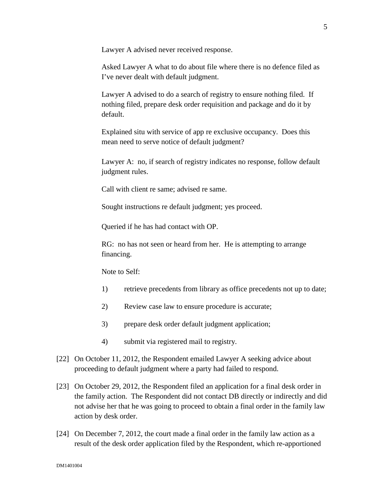Lawyer A advised never received response.

Asked Lawyer A what to do about file where there is no defence filed as I've never dealt with default judgment.

Lawyer A advised to do a search of registry to ensure nothing filed. If nothing filed, prepare desk order requisition and package and do it by default.

Explained situ with service of app re exclusive occupancy. Does this mean need to serve notice of default judgment?

Lawyer A: no, if search of registry indicates no response, follow default judgment rules.

Call with client re same; advised re same.

Sought instructions re default judgment; yes proceed.

Queried if he has had contact with OP.

RG: no has not seen or heard from her. He is attempting to arrange financing.

Note to Self:

- 1) retrieve precedents from library as office precedents not up to date;
- 2) Review case law to ensure procedure is accurate;
- 3) prepare desk order default judgment application;
- 4) submit via registered mail to registry.
- [22] On October 11, 2012, the Respondent emailed Lawyer A seeking advice about proceeding to default judgment where a party had failed to respond.
- [23] On October 29, 2012, the Respondent filed an application for a final desk order in the family action. The Respondent did not contact DB directly or indirectly and did not advise her that he was going to proceed to obtain a final order in the family law action by desk order.
- [24] On December 7, 2012, the court made a final order in the family law action as a result of the desk order application filed by the Respondent, which re-apportioned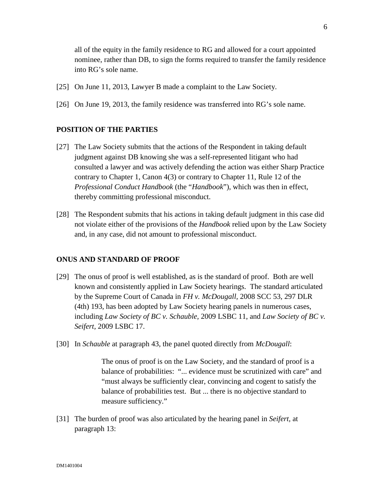all of the equity in the family residence to RG and allowed for a court appointed nominee, rather than DB, to sign the forms required to transfer the family residence into RG's sole name.

- [25] On June 11, 2013, Lawyer B made a complaint to the Law Society.
- [26] On June 19, 2013, the family residence was transferred into RG's sole name.

### **POSITION OF THE PARTIES**

- [27] The Law Society submits that the actions of the Respondent in taking default judgment against DB knowing she was a self-represented litigant who had consulted a lawyer and was actively defending the action was either Sharp Practice contrary to Chapter 1, Canon 4(3) or contrary to Chapter 11, Rule 12 of the *Professional Conduct Handbook* (the "*Handbook*"), which was then in effect, thereby committing professional misconduct.
- [28] The Respondent submits that his actions in taking default judgment in this case did not violate either of the provisions of the *Handbook* relied upon by the Law Society and, in any case, did not amount to professional misconduct.

### **ONUS AND STANDARD OF PROOF**

- [29] The onus of proof is well established, as is the standard of proof. Both are well known and consistently applied in Law Society hearings. The standard articulated by the Supreme Court of Canada in *FH v. McDougall,* 2008 SCC 53, 297 DLR (4th) 193, has been adopted by Law Society hearing panels in numerous cases, including *Law Society of BC v. Schauble,* 2009 LSBC 11, and *Law Society of BC v. Seifert,* 2009 LSBC 17.
- [30] In *Schauble* at paragraph 43, the panel quoted directly from *McDougall*:

The onus of proof is on the Law Society, and the standard of proof is a balance of probabilities: "... evidence must be scrutinized with care" and "must always be sufficiently clear, convincing and cogent to satisfy the balance of probabilities test. But ... there is no objective standard to measure sufficiency."

[31] The burden of proof was also articulated by the hearing panel in *Seifert,* at paragraph 13: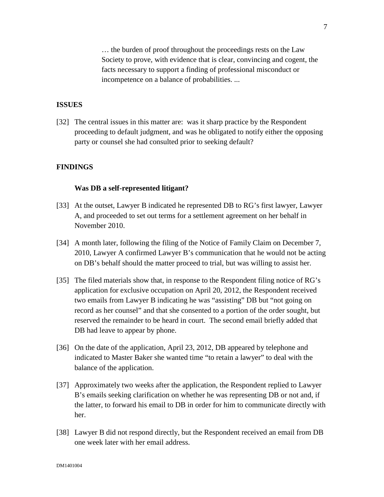… the burden of proof throughout the proceedings rests on the Law Society to prove, with evidence that is clear, convincing and cogent, the facts necessary to support a finding of professional misconduct or incompetence on a balance of probabilities. ...

### **ISSUES**

[32] The central issues in this matter are: was it sharp practice by the Respondent proceeding to default judgment, and was he obligated to notify either the opposing party or counsel she had consulted prior to seeking default?

### **FINDINGS**

#### **Was DB a self-represented litigant?**

- [33] At the outset, Lawyer B indicated he represented DB to RG's first lawyer, Lawyer A, and proceeded to set out terms for a settlement agreement on her behalf in November 2010.
- [34] A month later, following the filing of the Notice of Family Claim on December 7, 2010, Lawyer A confirmed Lawyer B's communication that he would not be acting on DB's behalf should the matter proceed to trial, but was willing to assist her.
- [35] The filed materials show that, in response to the Respondent filing notice of RG's application for exclusive occupation on April 20, 2012, the Respondent received two emails from Lawyer B indicating he was "assisting" DB but "not going on record as her counsel" and that she consented to a portion of the order sought, but reserved the remainder to be heard in court. The second email briefly added that DB had leave to appear by phone.
- [36] On the date of the application, April 23, 2012, DB appeared by telephone and indicated to Master Baker she wanted time "to retain a lawyer" to deal with the balance of the application.
- [37] Approximately two weeks after the application, the Respondent replied to Lawyer B's emails seeking clarification on whether he was representing DB or not and, if the latter, to forward his email to DB in order for him to communicate directly with her.
- [38] Lawyer B did not respond directly, but the Respondent received an email from DB one week later with her email address.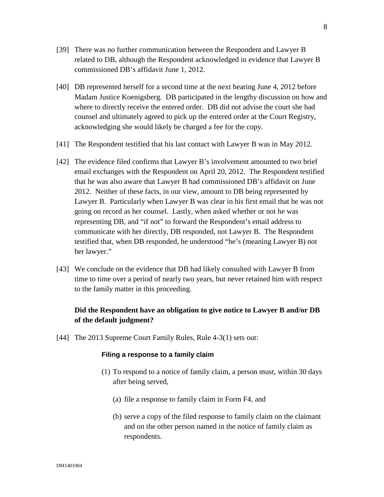- [39] There was no further communication between the Respondent and Lawyer B related to DB, although the Respondent acknowledged in evidence that Lawyer B commissioned DB's affidavit June 1, 2012.
- [40] DB represented herself for a second time at the next hearing June 4, 2012 before Madam Justice Koenigsberg. DB participated in the lengthy discussion on how and where to directly receive the entered order. DB did not advise the court she had counsel and ultimately agreed to pick up the entered order at the Court Registry, acknowledging she would likely be charged a fee for the copy.
- [41] The Respondent testified that his last contact with Lawyer B was in May 2012.
- [42] The evidence filed confirms that Lawyer B's involvement amounted to two brief email exchanges with the Respondent on April 20, 2012. The Respondent testified that he was also aware that Lawyer B had commissioned DB's affidavit on June 2012. Neither of these facts, in our view, amount to DB being represented by Lawyer B. Particularly when Lawyer B was clear in his first email that he was not going on record as her counsel. Lastly, when asked whether or not he was representing DB, and "if not" to forward the Respondent's email address to communicate with her directly, DB responded, not Lawyer B. The Respondent testified that, when DB responded, he understood "he's (meaning Lawyer B) not her lawyer."
- [43] We conclude on the evidence that DB had likely consulted with Lawyer B from time to time over a period of nearly two years, but never retained him with respect to the family matter in this proceeding.

# **Did the Respondent have an obligation to give notice to Lawyer B and/or DB of the default judgment?**

[44] The 2013 Supreme Court Family Rules, Rule 4-3(1) sets out:

#### **Filing a response to a family claim**

- (1) To respond to a notice of family claim, a person must, within 30 days after being served,
	- (a) file a response to family claim in Form F4, and
	- (b) serve a copy of the filed response to family claim on the claimant and on the other person named in the notice of family claim as respondents.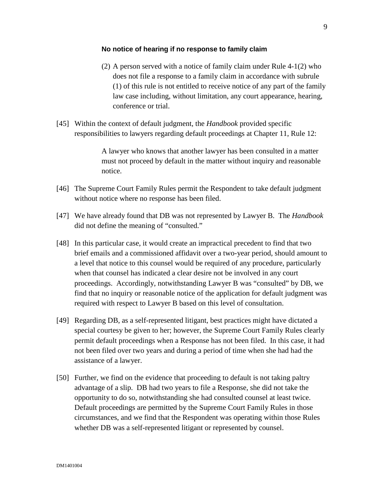#### **No notice of hearing if no response to family claim**

- (2) A person served with a notice of family claim under Rule 4-1(2) who does not file a response to a family claim in accordance with subrule (1) of this rule is not entitled to receive notice of any part of the family law case including, without limitation, any court appearance, hearing, conference or trial.
- [45] Within the context of default judgment, the *Handbook* provided specific responsibilities to lawyers regarding default proceedings at Chapter 11, Rule 12:

A lawyer who knows that another lawyer has been consulted in a matter must not proceed by default in the matter without inquiry and reasonable notice.

- [46] The Supreme Court Family Rules permit the Respondent to take default judgment without notice where no response has been filed.
- [47] We have already found that DB was not represented by Lawyer B. The *Handbook*  did not define the meaning of "consulted."
- [48] In this particular case, it would create an impractical precedent to find that two brief emails and a commissioned affidavit over a two-year period, should amount to a level that notice to this counsel would be required of any procedure, particularly when that counsel has indicated a clear desire not be involved in any court proceedings. Accordingly, notwithstanding Lawyer B was "consulted" by DB, we find that no inquiry or reasonable notice of the application for default judgment was required with respect to Lawyer B based on this level of consultation.
- [49] Regarding DB, as a self-represented litigant, best practices might have dictated a special courtesy be given to her; however, the Supreme Court Family Rules clearly permit default proceedings when a Response has not been filed. In this case, it had not been filed over two years and during a period of time when she had had the assistance of a lawyer.
- [50] Further, we find on the evidence that proceeding to default is not taking paltry advantage of a slip. DB had two years to file a Response, she did not take the opportunity to do so, notwithstanding she had consulted counsel at least twice. Default proceedings are permitted by the Supreme Court Family Rules in those circumstances, and we find that the Respondent was operating within those Rules whether DB was a self-represented litigant or represented by counsel.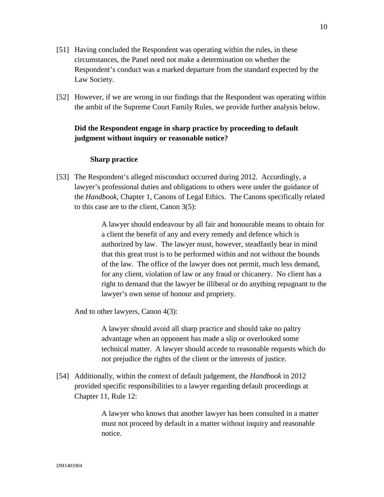- [51] Having concluded the Respondent was operating within the rules, in these circumstances, the Panel need not make a determination on whether the Respondent's conduct was a marked departure from the standard expected by the Law Society.
- [52] However, if we are wrong in our findings that the Respondent was operating within the ambit of the Supreme Court Family Rules, we provide further analysis below.

# **Did the Respondent engage in sharp practice by proceeding to default judgment without inquiry or reasonable notice?**

### **Sharp practice**

[53] The Respondent's alleged misconduct occurred during 2012. Accordingly, a lawyer's professional duties and obligations to others were under the guidance of the *Handbook,* Chapter 1, Canons of Legal Ethics. The Canons specifically related to this case are to the client, Canon 3(5):

> A lawyer should endeavour by all fair and honourable means to obtain for a client the benefit of any and every remedy and defence which is authorized by law. The lawyer must, however, steadfastly bear in mind that this great trust is to be performed within and not without the bounds of the law. The office of the lawyer does not permit, much less demand, for any client, violation of law or any fraud or chicanery. No client has a right to demand that the lawyer be illiberal or do anything repugnant to the lawyer's own sense of honour and propriety.

And to other lawyers, Canon 4(3):

A lawyer should avoid all sharp practice and should take no paltry advantage when an opponent has made a slip or overlooked some technical matter. A lawyer should accede to reasonable requests which do not prejudice the rights of the client or the interests of justice.

[54] Additionally, within the context of default judgement, the *Handbook* in 2012 provided specific responsibilities to a lawyer regarding default proceedings at Chapter 11, Rule 12:

> A lawyer who knows that another lawyer has been consulted in a matter must not proceed by default in a matter without inquiry and reasonable notice.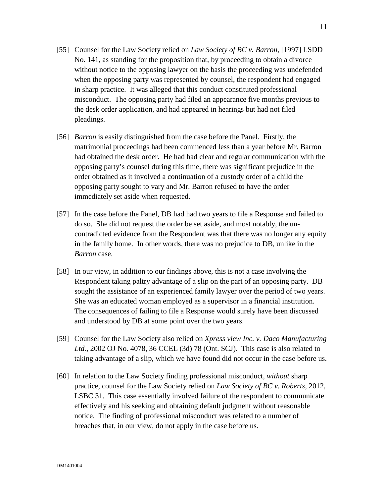- [55] Counsel for the Law Society relied on *Law Society of BC v. Barron*, [1997] LSDD No. 141, as standing for the proposition that, by proceeding to obtain a divorce without notice to the opposing lawyer on the basis the proceeding was undefended when the opposing party was represented by counsel, the respondent had engaged in sharp practice. It was alleged that this conduct constituted professional misconduct. The opposing party had filed an appearance five months previous to the desk order application, and had appeared in hearings but had not filed pleadings.
- [56] *Barron* is easily distinguished from the case before the Panel. Firstly, the matrimonial proceedings had been commenced less than a year before Mr. Barron had obtained the desk order. He had had clear and regular communication with the opposing party's counsel during this time, there was significant prejudice in the order obtained as it involved a continuation of a custody order of a child the opposing party sought to vary and Mr. Barron refused to have the order immediately set aside when requested.
- [57] In the case before the Panel, DB had had two years to file a Response and failed to do so. She did not request the order be set aside, and most notably, the uncontradicted evidence from the Respondent was that there was no longer any equity in the family home. In other words, there was no prejudice to DB, unlike in the *Barron* case.
- [58] In our view, in addition to our findings above, this is not a case involving the Respondent taking paltry advantage of a slip on the part of an opposing party. DB sought the assistance of an experienced family lawyer over the period of two years. She was an educated woman employed as a supervisor in a financial institution. The consequences of failing to file a Response would surely have been discussed and understood by DB at some point over the two years.
- [59] Counsel for the Law Society also relied on *Xpress view Inc. v. Daco Manufacturing Ltd.,* 2002 OJ No. 4078, 36 CCEL (3d) 78 (Ont. SCJ). This case is also related to taking advantage of a slip, which we have found did not occur in the case before us.
- [60] In relation to the Law Society finding professional misconduct, *without* sharp practice, counsel for the Law Society relied on *Law Society of BC v. Roberts*, 2012, LSBC 31. This case essentially involved failure of the respondent to communicate effectively and his seeking and obtaining default judgment without reasonable notice. The finding of professional misconduct was related to a number of breaches that, in our view, do not apply in the case before us.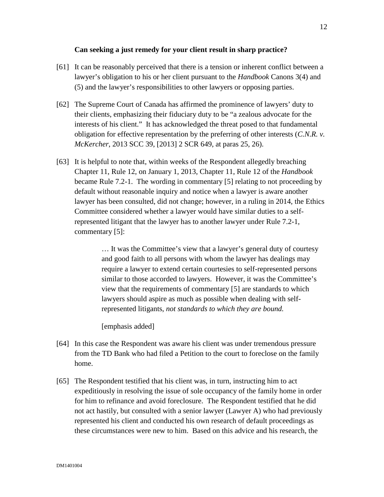### **Can seeking a just remedy for your client result in sharp practice?**

- [61] It can be reasonably perceived that there is a tension or inherent conflict between a lawyer's obligation to his or her client pursuant to the *Handbook* Canons 3(4) and (5) and the lawyer's responsibilities to other lawyers or opposing parties.
- [62] The Supreme Court of Canada has affirmed the prominence of lawyers' duty to their clients, emphasizing their fiduciary duty to be "a zealous advocate for the interests of his client." It has acknowledged the threat posed to that fundamental obligation for effective representation by the preferring of other interests (*C.N.R. v. McKercher*, 2013 SCC 39, [2013] 2 SCR 649, at paras 25, 26).
- [63] It is helpful to note that, within weeks of the Respondent allegedly breaching Chapter 11, Rule 12, on January 1, 2013, Chapter 11, Rule 12 of the *Handbook* became Rule 7.2-1. The wording in commentary [5] relating to not proceeding by default without reasonable inquiry and notice when a lawyer is aware another lawyer has been consulted, did not change; however, in a ruling in 2014, the Ethics Committee considered whether a lawyer would have similar duties to a selfrepresented litigant that the lawyer has to another lawyer under Rule 7.2-1, commentary [5]:

… It was the Committee's view that a lawyer's general duty of courtesy and good faith to all persons with whom the lawyer has dealings may require a lawyer to extend certain courtesies to self-represented persons similar to those accorded to lawyers. However, it was the Committee's view that the requirements of commentary [5] are standards to which lawyers should aspire as much as possible when dealing with selfrepresented litigants, *not standards to which they are bound.*

[emphasis added]

- [64] In this case the Respondent was aware his client was under tremendous pressure from the TD Bank who had filed a Petition to the court to foreclose on the family home.
- [65] The Respondent testified that his client was, in turn, instructing him to act expeditiously in resolving the issue of sole occupancy of the family home in order for him to refinance and avoid foreclosure. The Respondent testified that he did not act hastily, but consulted with a senior lawyer (Lawyer A) who had previously represented his client and conducted his own research of default proceedings as these circumstances were new to him. Based on this advice and his research, the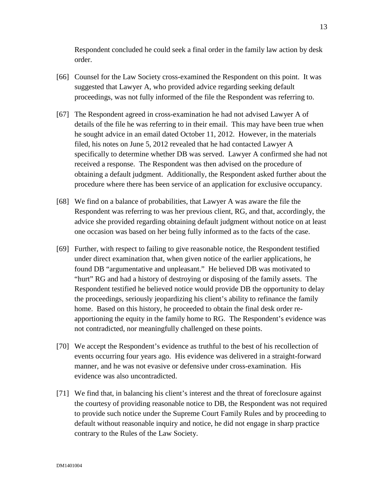Respondent concluded he could seek a final order in the family law action by desk order.

- [66] Counsel for the Law Society cross-examined the Respondent on this point. It was suggested that Lawyer A, who provided advice regarding seeking default proceedings, was not fully informed of the file the Respondent was referring to.
- [67] The Respondent agreed in cross-examination he had not advised Lawyer A of details of the file he was referring to in their email. This may have been true when he sought advice in an email dated October 11, 2012. However, in the materials filed, his notes on June 5, 2012 revealed that he had contacted Lawyer A specifically to determine whether DB was served. Lawyer A confirmed she had not received a response. The Respondent was then advised on the procedure of obtaining a default judgment. Additionally, the Respondent asked further about the procedure where there has been service of an application for exclusive occupancy.
- [68] We find on a balance of probabilities, that Lawyer A was aware the file the Respondent was referring to was her previous client, RG, and that, accordingly, the advice she provided regarding obtaining default judgment without notice on at least one occasion was based on her being fully informed as to the facts of the case.
- [69] Further, with respect to failing to give reasonable notice, the Respondent testified under direct examination that, when given notice of the earlier applications, he found DB "argumentative and unpleasant." He believed DB was motivated to "hurt" RG and had a history of destroying or disposing of the family assets. The Respondent testified he believed notice would provide DB the opportunity to delay the proceedings, seriously jeopardizing his client's ability to refinance the family home. Based on this history, he proceeded to obtain the final desk order reapportioning the equity in the family home to RG. The Respondent's evidence was not contradicted, nor meaningfully challenged on these points.
- [70] We accept the Respondent's evidence as truthful to the best of his recollection of events occurring four years ago. His evidence was delivered in a straight-forward manner, and he was not evasive or defensive under cross-examination. His evidence was also uncontradicted.
- [71] We find that, in balancing his client's interest and the threat of foreclosure against the courtesy of providing reasonable notice to DB, the Respondent was not required to provide such notice under the Supreme Court Family Rules and by proceeding to default without reasonable inquiry and notice, he did not engage in sharp practice contrary to the Rules of the Law Society.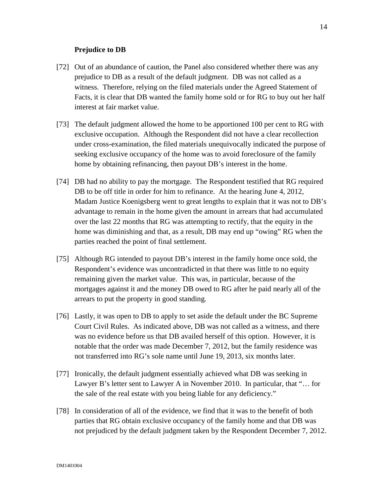### **Prejudice to DB**

- [72] Out of an abundance of caution, the Panel also considered whether there was any prejudice to DB as a result of the default judgment. DB was not called as a witness. Therefore, relying on the filed materials under the Agreed Statement of Facts, it is clear that DB wanted the family home sold or for RG to buy out her half interest at fair market value.
- [73] The default judgment allowed the home to be apportioned 100 per cent to RG with exclusive occupation. Although the Respondent did not have a clear recollection under cross-examination, the filed materials unequivocally indicated the purpose of seeking exclusive occupancy of the home was to avoid foreclosure of the family home by obtaining refinancing, then payout DB's interest in the home.
- [74] DB had no ability to pay the mortgage. The Respondent testified that RG required DB to be off title in order for him to refinance. At the hearing June 4, 2012, Madam Justice Koenigsberg went to great lengths to explain that it was not to DB's advantage to remain in the home given the amount in arrears that had accumulated over the last 22 months that RG was attempting to rectify, that the equity in the home was diminishing and that, as a result, DB may end up "owing" RG when the parties reached the point of final settlement.
- [75] Although RG intended to payout DB's interest in the family home once sold, the Respondent's evidence was uncontradicted in that there was little to no equity remaining given the market value. This was, in particular, because of the mortgages against it and the money DB owed to RG after he paid nearly all of the arrears to put the property in good standing.
- [76] Lastly, it was open to DB to apply to set aside the default under the BC Supreme Court Civil Rules. As indicated above, DB was not called as a witness, and there was no evidence before us that DB availed herself of this option. However, it is notable that the order was made December 7, 2012, but the family residence was not transferred into RG's sole name until June 19, 2013, six months later.
- [77] Ironically, the default judgment essentially achieved what DB was seeking in Lawyer B's letter sent to Lawyer A in November 2010. In particular, that "… for the sale of the real estate with you being liable for any deficiency."
- [78] In consideration of all of the evidence, we find that it was to the benefit of both parties that RG obtain exclusive occupancy of the family home and that DB was not prejudiced by the default judgment taken by the Respondent December 7, 2012.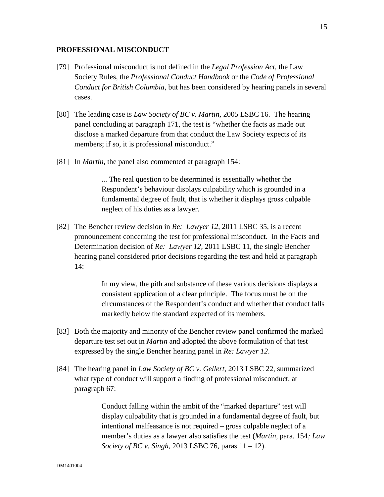### **PROFESSIONAL MISCONDUCT**

- [79] Professional misconduct is not defined in the *Legal Profession Act*, the Law Society Rules, the *Professional Conduct Handbook* or the *Code of Professional Conduct for British Columbia*, but has been considered by hearing panels in several cases.
- [80] The leading case is *Law Society of BC v. Martin,* 2005 LSBC 16. The hearing panel concluding at paragraph 171, the test is "whether the facts as made out disclose a marked departure from that conduct the Law Society expects of its members; if so, it is professional misconduct."
- [81] In *Martin*, the panel also commented at paragraph 154:

... The real question to be determined is essentially whether the Respondent's behaviour displays culpability which is grounded in a fundamental degree of fault, that is whether it displays gross culpable neglect of his duties as a lawyer.

[82] The Bencher review decision in *Re: Lawyer 12,* 2011 LSBC 35, is a recent pronouncement concerning the test for professional misconduct. In the Facts and Determination decision of *Re: Lawyer 12,* 2011 LSBC 11, the single Bencher hearing panel considered prior decisions regarding the test and held at paragraph 14:

> In my view, the pith and substance of these various decisions displays a consistent application of a clear principle. The focus must be on the circumstances of the Respondent's conduct and whether that conduct falls markedly below the standard expected of its members.

- [83] Both the majority and minority of the Bencher review panel confirmed the marked departure test set out in *Martin* and adopted the above formulation of that test expressed by the single Bencher hearing panel in *Re: Lawyer 12*.
- [84] The hearing panel in *Law Society of BC v. Gellert*, 2013 LSBC 22, summarized what type of conduct will support a finding of professional misconduct, at paragraph 67:

Conduct falling within the ambit of the "marked departure" test will display culpability that is grounded in a fundamental degree of fault, but intentional malfeasance is not required – gross culpable neglect of a member's duties as a lawyer also satisfies the test (*Martin,* para. 154*; Law Society of BC v. Singh,* 2013 LSBC 76, paras 11 – 12).